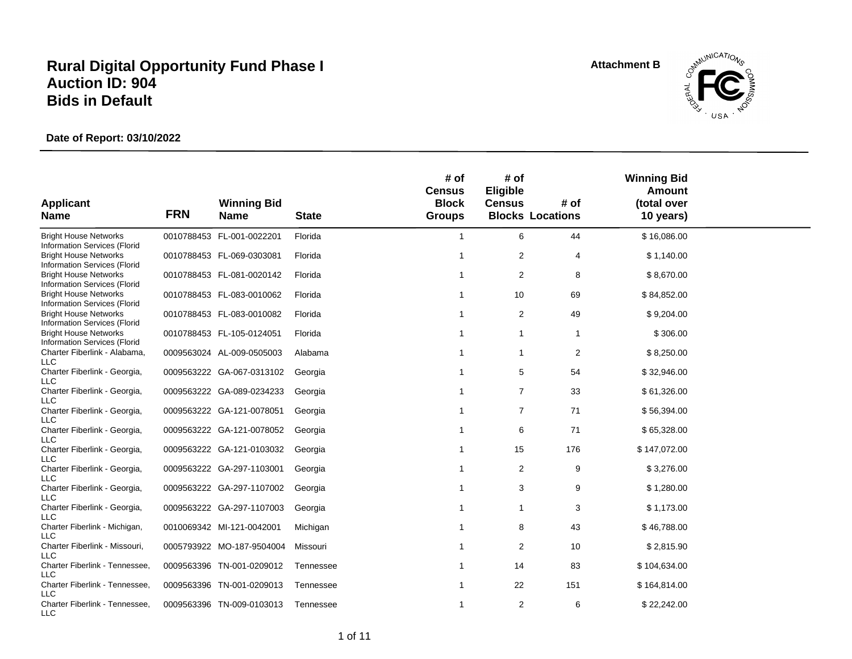**Attachment B**



| <b>Applicant</b>                                             | <b>FRN</b> | <b>Winning Bid</b>        |              | # of<br><b>Census</b><br><b>Block</b> | # of<br>Eligible<br><b>Census</b> | # of                    | <b>Winning Bid</b><br><b>Amount</b><br>(total over |  |
|--------------------------------------------------------------|------------|---------------------------|--------------|---------------------------------------|-----------------------------------|-------------------------|----------------------------------------------------|--|
| <b>Name</b>                                                  |            | <b>Name</b>               | <b>State</b> | <b>Groups</b>                         |                                   | <b>Blocks Locations</b> | 10 years)                                          |  |
| <b>Bright House Networks</b><br>Information Services (Florid |            | 0010788453 FL-001-0022201 | Florida      | -1                                    | 6                                 | 44                      | \$16,086.00                                        |  |
| <b>Bright House Networks</b><br>Information Services (Florid |            | 0010788453 FL-069-0303081 | Florida      | -1                                    | 2                                 | 4                       | \$1,140.00                                         |  |
| <b>Bright House Networks</b><br>Information Services (Florid |            | 0010788453 FL-081-0020142 | Florida      |                                       | 2                                 | 8                       | \$8,670.00                                         |  |
| <b>Bright House Networks</b><br>Information Services (Florid |            | 0010788453 FL-083-0010062 | Florida      |                                       | 10                                | 69                      | \$84,852.00                                        |  |
| <b>Bright House Networks</b><br>Information Services (Florid |            | 0010788453 FL-083-0010082 | Florida      |                                       | 2                                 | 49                      | \$9,204.00                                         |  |
| <b>Bright House Networks</b><br>Information Services (Florid |            | 0010788453 FL-105-0124051 | Florida      |                                       | 1                                 | 1                       | \$306.00                                           |  |
| Charter Fiberlink - Alabama,<br><b>LLC</b>                   |            | 0009563024 AL-009-0505003 | Alabama      | -1                                    | $\overline{1}$                    | 2                       | \$8,250.00                                         |  |
| Charter Fiberlink - Georgia,<br><b>LLC</b>                   |            | 0009563222 GA-067-0313102 | Georgia      |                                       | 5                                 | 54                      | \$32,946.00                                        |  |
| Charter Fiberlink - Georgia,<br><b>LLC</b>                   |            | 0009563222 GA-089-0234233 | Georgia      |                                       | $\overline{7}$                    | 33                      | \$61,326.00                                        |  |
| Charter Fiberlink - Georgia,<br>LLC                          |            | 0009563222 GA-121-0078051 | Georgia      |                                       | $\overline{7}$                    | 71                      | \$56,394.00                                        |  |
| Charter Fiberlink - Georgia,<br><b>LLC</b>                   |            | 0009563222 GA-121-0078052 | Georgia      |                                       | 6                                 | 71                      | \$65,328.00                                        |  |
| Charter Fiberlink - Georgia,<br><b>LLC</b>                   |            | 0009563222 GA-121-0103032 | Georgia      |                                       | 15                                | 176                     | \$147,072.00                                       |  |
| Charter Fiberlink - Georgia,<br>LLC                          |            | 0009563222 GA-297-1103001 | Georgia      |                                       | $\overline{2}$                    | 9                       | \$3,276.00                                         |  |
| Charter Fiberlink - Georgia,<br><b>LLC</b>                   |            | 0009563222 GA-297-1107002 | Georgia      |                                       | 3                                 | 9                       | \$1,280.00                                         |  |
| Charter Fiberlink - Georgia,<br><b>LLC</b>                   |            | 0009563222 GA-297-1107003 | Georgia      |                                       | $\mathbf{1}$                      | 3                       | \$1,173.00                                         |  |
| Charter Fiberlink - Michigan,<br>LLC                         |            | 0010069342 MI-121-0042001 | Michigan     |                                       | 8                                 | 43                      | \$46,788.00                                        |  |
| Charter Fiberlink - Missouri,<br><b>LLC</b>                  |            | 0005793922 MO-187-9504004 | Missouri     |                                       | 2                                 | 10                      | \$2,815.90                                         |  |
| Charter Fiberlink - Tennessee,<br>LLC                        |            | 0009563396 TN-001-0209012 | Tennessee    | -1                                    | 14                                | 83                      | \$104,634.00                                       |  |
| Charter Fiberlink - Tennessee,<br>LLC                        |            | 0009563396 TN-001-0209013 | Tennessee    | -1                                    | 22                                | 151                     | \$164,814.00                                       |  |
| Charter Fiberlink - Tennessee,<br>LLC                        |            | 0009563396 TN-009-0103013 | Tennessee    | -1                                    | $\overline{2}$                    | 6                       | \$22,242.00                                        |  |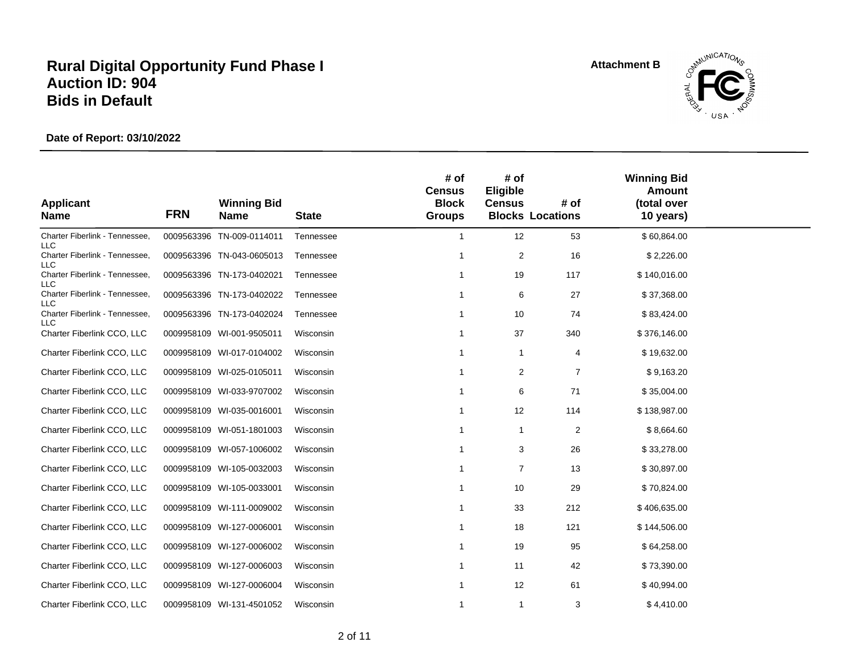**Attachment B**



| <b>Applicant</b>                             |            | <b>Winning Bid</b>        |              | # of<br><b>Census</b><br><b>Block</b> | # of<br>Eligible<br><b>Census</b> | # of                    | <b>Winning Bid</b><br><b>Amount</b><br>(total over |  |
|----------------------------------------------|------------|---------------------------|--------------|---------------------------------------|-----------------------------------|-------------------------|----------------------------------------------------|--|
| <b>Name</b>                                  | <b>FRN</b> | <b>Name</b>               | <b>State</b> | <b>Groups</b>                         |                                   | <b>Blocks Locations</b> | 10 years)                                          |  |
| Charter Fiberlink - Tennessee,<br><b>LLC</b> |            | 0009563396 TN-009-0114011 | Tennessee    | $\mathbf{1}$                          | 12                                | 53                      | \$60,864.00                                        |  |
| Charter Fiberlink - Tennessee,<br>LLC        |            | 0009563396 TN-043-0605013 | Tennessee    | 1                                     | $\overline{c}$                    | 16                      | \$2,226.00                                         |  |
| Charter Fiberlink - Tennessee,<br>LLC        |            | 0009563396 TN-173-0402021 | Tennessee    | 1                                     | 19                                | 117                     | \$140,016.00                                       |  |
| Charter Fiberlink - Tennessee,<br>LLC        |            | 0009563396 TN-173-0402022 | Tennessee    | 1                                     | 6                                 | 27                      | \$37,368.00                                        |  |
| Charter Fiberlink - Tennessee,<br>LLC        |            | 0009563396 TN-173-0402024 | Tennessee    | 1                                     | 10                                | 74                      | \$83,424.00                                        |  |
| Charter Fiberlink CCO, LLC                   |            | 0009958109 WI-001-9505011 | Wisconsin    | 1                                     | 37                                | 340                     | \$376,146.00                                       |  |
| Charter Fiberlink CCO, LLC                   |            | 0009958109 WI-017-0104002 | Wisconsin    | 1                                     | 1                                 | 4                       | \$19,632.00                                        |  |
| Charter Fiberlink CCO, LLC                   |            | 0009958109 WI-025-0105011 | Wisconsin    | -1                                    | 2                                 | $\overline{7}$          | \$9,163.20                                         |  |
| Charter Fiberlink CCO, LLC                   |            | 0009958109 WI-033-9707002 | Wisconsin    | -1                                    | 6                                 | 71                      | \$35,004.00                                        |  |
| Charter Fiberlink CCO, LLC                   |            | 0009958109 WI-035-0016001 | Wisconsin    | 1                                     | 12                                | 114                     | \$138,987.00                                       |  |
| Charter Fiberlink CCO, LLC                   |            | 0009958109 WI-051-1801003 | Wisconsin    | 1                                     | 1                                 | 2                       | \$8,664.60                                         |  |
| Charter Fiberlink CCO, LLC                   |            | 0009958109 WI-057-1006002 | Wisconsin    | 1                                     | 3                                 | 26                      | \$33,278.00                                        |  |
| Charter Fiberlink CCO, LLC                   |            | 0009958109 WI-105-0032003 | Wisconsin    |                                       | $\overline{7}$                    | 13                      | \$30,897.00                                        |  |
| Charter Fiberlink CCO, LLC                   |            | 0009958109 WI-105-0033001 | Wisconsin    |                                       | 10                                | 29                      | \$70,824.00                                        |  |
| Charter Fiberlink CCO, LLC                   |            | 0009958109 WI-111-0009002 | Wisconsin    |                                       | 33                                | 212                     | \$406,635.00                                       |  |
| Charter Fiberlink CCO, LLC                   |            | 0009958109 WI-127-0006001 | Wisconsin    |                                       | 18                                | 121                     | \$144,506.00                                       |  |
| Charter Fiberlink CCO, LLC                   |            | 0009958109 WI-127-0006002 | Wisconsin    | 1                                     | 19                                | 95                      | \$64,258.00                                        |  |
| Charter Fiberlink CCO, LLC                   |            | 0009958109 WI-127-0006003 | Wisconsin    | 1                                     | 11                                | 42                      | \$73,390.00                                        |  |
| Charter Fiberlink CCO, LLC                   |            | 0009958109 WI-127-0006004 | Wisconsin    | 1                                     | 12                                | 61                      | \$40,994.00                                        |  |
| Charter Fiberlink CCO, LLC                   |            | 0009958109 WI-131-4501052 | Wisconsin    | 1                                     | 1                                 | 3                       | \$4,410.00                                         |  |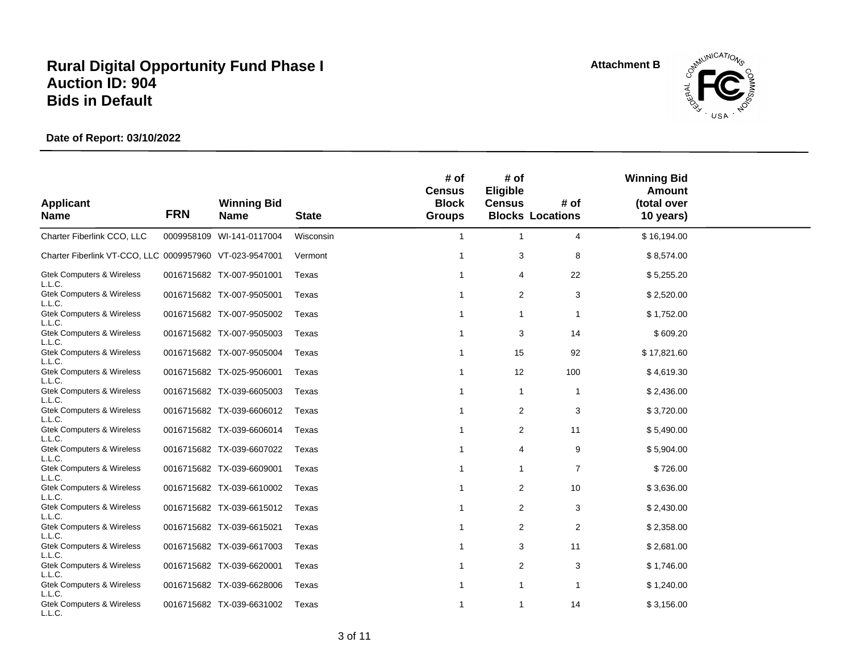**Attachment B**



| <b>Applicant</b><br><b>Name</b>                          | <b>FRN</b> | <b>Winning Bid</b><br><b>Name</b> | <b>State</b> | # of<br><b>Census</b><br><b>Block</b><br><b>Groups</b> | # of<br>Eligible<br><b>Census</b> | # of<br><b>Blocks Locations</b> | <b>Winning Bid</b><br><b>Amount</b><br>(total over<br>10 years) |  |
|----------------------------------------------------------|------------|-----------------------------------|--------------|--------------------------------------------------------|-----------------------------------|---------------------------------|-----------------------------------------------------------------|--|
| Charter Fiberlink CCO, LLC                               |            | 0009958109 WI-141-0117004         | Wisconsin    | $\mathbf{1}$                                           | $\mathbf{1}$                      | 4                               | \$16,194.00                                                     |  |
| Charter Fiberlink VT-CCO, LLC 0009957960 VT-023-9547001  |            |                                   | Vermont      | 1                                                      | 3                                 | 8                               | \$8,574.00                                                      |  |
| <b>Gtek Computers &amp; Wireless</b><br>L.L.C.           |            | 0016715682 TX-007-9501001         | Texas        | 1                                                      | 4                                 | 22                              | \$5,255.20                                                      |  |
| <b>Gtek Computers &amp; Wireless</b><br>L.L.C.           |            | 0016715682 TX-007-9505001         | Texas        | 1                                                      | 2                                 | 3                               | \$2,520.00                                                      |  |
| <b>Gtek Computers &amp; Wireless</b><br>L.L.C.           |            | 0016715682 TX-007-9505002         | Texas        | 1                                                      | 1                                 | 1                               | \$1,752.00                                                      |  |
| <b>Gtek Computers &amp; Wireless</b><br>L.L.C.           |            | 0016715682 TX-007-9505003         | Texas        | 1                                                      | 3                                 | 14                              | \$609.20                                                        |  |
| <b>Gtek Computers &amp; Wireless</b><br>L.L.C.           |            | 0016715682 TX-007-9505004         | Texas        | $\mathbf 1$                                            | 15                                | 92                              | \$17,821.60                                                     |  |
| <b>Gtek Computers &amp; Wireless</b><br>L.L.C.           |            | 0016715682 TX-025-9506001         | Texas        | 1                                                      | 12                                | 100                             | \$4,619.30                                                      |  |
| <b>Gtek Computers &amp; Wireless</b><br>L.L.C.           |            | 0016715682 TX-039-6605003         | Texas        | 1                                                      | $\mathbf{1}$                      | 1                               | \$2,436.00                                                      |  |
| <b>Gtek Computers &amp; Wireless</b><br>L.L.C.           |            | 0016715682 TX-039-6606012         | Texas        | 1                                                      | 2                                 | 3                               | \$3,720.00                                                      |  |
| <b>Gtek Computers &amp; Wireless</b><br>L.L.C.           |            | 0016715682 TX-039-6606014         | Texas        | 1                                                      | 2                                 | 11                              | \$5,490.00                                                      |  |
| <b>Gtek Computers &amp; Wireless</b><br>L.L.C.           |            | 0016715682 TX-039-6607022         | Texas        | 1                                                      | 4                                 | 9                               | \$5,904.00                                                      |  |
| <b>Gtek Computers &amp; Wireless</b><br>L.L.C.           |            | 0016715682 TX-039-6609001         | Texas        | 1                                                      | 1                                 | 7                               | \$726.00                                                        |  |
| <b>Gtek Computers &amp; Wireless</b><br>L.L.C.           |            | 0016715682 TX-039-6610002         | Texas        | 1                                                      | 2                                 | 10                              | \$3,636.00                                                      |  |
| <b>Gtek Computers &amp; Wireless</b>                     |            | 0016715682 TX-039-6615012         | Texas        | 1                                                      | 2                                 | 3                               | \$2,430.00                                                      |  |
| L.L.C.<br><b>Gtek Computers &amp; Wireless</b>           |            | 0016715682 TX-039-6615021         | Texas        | 1                                                      | 2                                 | 2                               | \$2,358.00                                                      |  |
| L.L.C.<br><b>Gtek Computers &amp; Wireless</b>           |            | 0016715682 TX-039-6617003         | Texas        | 1                                                      | 3                                 | 11                              | \$2,681.00                                                      |  |
| L.L.C.<br><b>Gtek Computers &amp; Wireless</b>           |            | 0016715682 TX-039-6620001         | Texas        | 1                                                      | $\overline{2}$                    | 3                               | \$1,746.00                                                      |  |
| L.L.C.<br><b>Gtek Computers &amp; Wireless</b>           |            | 0016715682 TX-039-6628006         | Texas        | 1                                                      | 1                                 | 1                               | \$1,240.00                                                      |  |
| L.L.C.<br><b>Gtek Computers &amp; Wireless</b><br>L.L.C. |            | 0016715682 TX-039-6631002         | Texas        | 1                                                      | 1                                 | 14                              | \$3,156.00                                                      |  |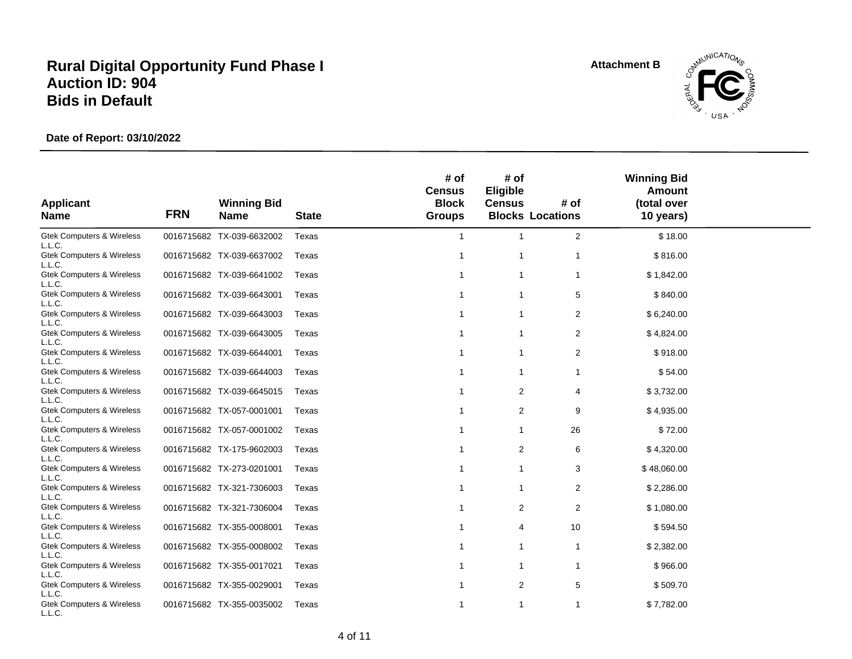**Attachment B**



| <b>Applicant</b><br><b>Name</b>                | <b>FRN</b> | <b>Winning Bid</b><br><b>Name</b> | <b>State</b> | # of<br><b>Census</b><br><b>Block</b><br><b>Groups</b> | # of<br>Eligible<br><b>Census</b> | # of<br><b>Blocks Locations</b> | <b>Winning Bid</b><br><b>Amount</b><br>(total over<br>10 years) |  |
|------------------------------------------------|------------|-----------------------------------|--------------|--------------------------------------------------------|-----------------------------------|---------------------------------|-----------------------------------------------------------------|--|
| <b>Gtek Computers &amp; Wireless</b><br>L.L.C. |            | 0016715682 TX-039-6632002         | Texas        | $\overline{1}$                                         | $\mathbf{1}$                      | 2                               | \$18.00                                                         |  |
| <b>Gtek Computers &amp; Wireless</b><br>L.L.C. |            | 0016715682 TX-039-6637002         | Texas        | $\overline{1}$                                         | $\mathbf{1}$                      | 1                               | \$816.00                                                        |  |
| <b>Gtek Computers &amp; Wireless</b><br>L.L.C. |            | 0016715682 TX-039-6641002         | Texas        | 1                                                      | 1                                 | 1                               | \$1,842.00                                                      |  |
| <b>Gtek Computers &amp; Wireless</b><br>L.L.C. |            | 0016715682 TX-039-6643001         | Texas        | -1                                                     | 1                                 | 5                               | \$840.00                                                        |  |
| <b>Gtek Computers &amp; Wireless</b><br>L.L.C. |            | 0016715682 TX-039-6643003         | Texas        | 1                                                      | 1                                 | 2                               | \$6,240.00                                                      |  |
| <b>Gtek Computers &amp; Wireless</b><br>L.L.C. |            | 0016715682 TX-039-6643005         | Texas        | -1                                                     | $\mathbf{1}$                      | $\overline{2}$                  | \$4,824.00                                                      |  |
| <b>Gtek Computers &amp; Wireless</b><br>L.L.C. |            | 0016715682 TX-039-6644001         | Texas        | -1                                                     | $\mathbf{1}$                      | 2                               | \$918.00                                                        |  |
| <b>Gtek Computers &amp; Wireless</b><br>L.L.C. |            | 0016715682 TX-039-6644003         | Texas        | -1                                                     | 1                                 | 1                               | \$54.00                                                         |  |
| <b>Gtek Computers &amp; Wireless</b><br>L.L.C. |            | 0016715682 TX-039-6645015         | Texas        | -1                                                     | 2                                 | 4                               | \$3,732.00                                                      |  |
| <b>Gtek Computers &amp; Wireless</b><br>L.L.C. |            | 0016715682 TX-057-0001001         | Texas        | -1                                                     | $\overline{2}$                    | 9                               | \$4,935.00                                                      |  |
| <b>Gtek Computers &amp; Wireless</b><br>L.L.C. |            | 0016715682 TX-057-0001002         | Texas        | -1                                                     | 1                                 | 26                              | \$72.00                                                         |  |
| <b>Gtek Computers &amp; Wireless</b><br>L.L.C. |            | 0016715682 TX-175-9602003         | Texas        | -1                                                     | $\overline{2}$                    | 6                               | \$4,320.00                                                      |  |
| <b>Gtek Computers &amp; Wireless</b><br>L.L.C. |            | 0016715682 TX-273-0201001         | Texas        | $\overline{1}$                                         | 1                                 | 3                               | \$48,060.00                                                     |  |
| <b>Gtek Computers &amp; Wireless</b><br>L.L.C. |            | 0016715682 TX-321-7306003         | Texas        | -1                                                     | 1                                 | 2                               | \$2,286.00                                                      |  |
| <b>Gtek Computers &amp; Wireless</b><br>L.L.C. |            | 0016715682 TX-321-7306004         | Texas        | -1                                                     | $\overline{2}$                    | 2                               | \$1,080.00                                                      |  |
| <b>Gtek Computers &amp; Wireless</b><br>L.L.C. |            | 0016715682 TX-355-0008001         | Texas        | $\mathbf{1}$                                           | 4                                 | 10                              | \$594.50                                                        |  |
| <b>Gtek Computers &amp; Wireless</b><br>L.L.C. |            | 0016715682 TX-355-0008002         | Texas        | -1                                                     | 1                                 | 1                               | \$2,382.00                                                      |  |
| <b>Gtek Computers &amp; Wireless</b><br>L.L.C. |            | 0016715682 TX-355-0017021         | Texas        | -1                                                     | $\mathbf{1}$                      | 1                               | \$966.00                                                        |  |
| <b>Gtek Computers &amp; Wireless</b><br>L.L.C. |            | 0016715682 TX-355-0029001         | Texas        | -1                                                     | $\overline{2}$                    | 5                               | \$509.70                                                        |  |
| <b>Gtek Computers &amp; Wireless</b><br>L.L.C. |            | 0016715682 TX-355-0035002         | Texas        | -1                                                     | 1                                 | 1                               | \$7,782.00                                                      |  |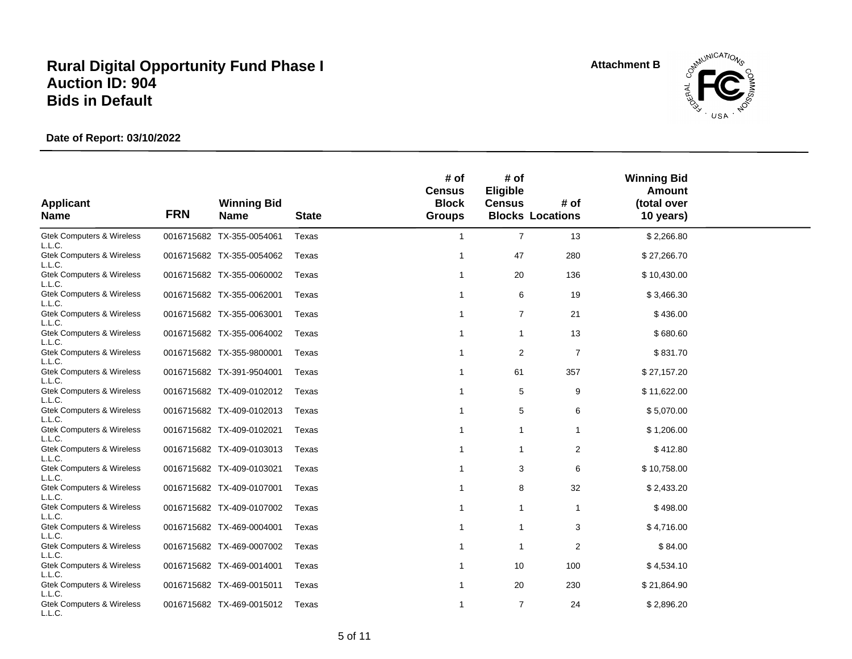**Attachment B**



| <b>Applicant</b><br><b>Name</b>                | <b>FRN</b> | <b>Winning Bid</b><br><b>Name</b> | <b>State</b> | # of<br><b>Census</b><br><b>Block</b><br><b>Groups</b> | # of<br>Eligible<br><b>Census</b> | # of<br><b>Blocks Locations</b> | <b>Winning Bid</b><br>Amount<br>(total over<br>10 years) |  |
|------------------------------------------------|------------|-----------------------------------|--------------|--------------------------------------------------------|-----------------------------------|---------------------------------|----------------------------------------------------------|--|
| <b>Gtek Computers &amp; Wireless</b><br>L.L.C. |            | 0016715682 TX-355-0054061         | Texas        | $\overline{1}$                                         | $\overline{7}$                    | 13                              | \$2,266.80                                               |  |
| <b>Gtek Computers &amp; Wireless</b><br>L.L.C. |            | 0016715682 TX-355-0054062         | Texas        | -1                                                     | 47                                | 280                             | \$27,266.70                                              |  |
| <b>Gtek Computers &amp; Wireless</b><br>L.L.C. |            | 0016715682 TX-355-0060002         | Texas        | -1                                                     | 20                                | 136                             | \$10,430.00                                              |  |
| <b>Gtek Computers &amp; Wireless</b><br>L.L.C. |            | 0016715682 TX-355-0062001         | Texas        | -1                                                     | 6                                 | 19                              | \$3,466.30                                               |  |
| <b>Gtek Computers &amp; Wireless</b><br>L.L.C. |            | 0016715682 TX-355-0063001         | Texas        | -1                                                     | $\overline{7}$                    | 21                              | \$436.00                                                 |  |
| <b>Gtek Computers &amp; Wireless</b><br>L.L.C. |            | 0016715682 TX-355-0064002         | Texas        | $\overline{1}$                                         | $\mathbf{1}$                      | 13                              | \$680.60                                                 |  |
| <b>Gtek Computers &amp; Wireless</b><br>L.L.C. |            | 0016715682 TX-355-9800001         | Texas        | -1                                                     | 2                                 | $\overline{7}$                  | \$831.70                                                 |  |
| <b>Gtek Computers &amp; Wireless</b><br>L.L.C. |            | 0016715682 TX-391-9504001         | Texas        | -1                                                     | 61                                | 357                             | \$27,157.20                                              |  |
| <b>Gtek Computers &amp; Wireless</b><br>L.L.C. |            | 0016715682 TX-409-0102012         | Texas        | $\mathbf{1}$                                           | 5                                 | 9                               | \$11,622.00                                              |  |
| <b>Gtek Computers &amp; Wireless</b><br>L.L.C. |            | 0016715682 TX-409-0102013         | Texas        | -1                                                     | 5                                 | 6                               | \$5,070.00                                               |  |
| <b>Gtek Computers &amp; Wireless</b><br>L.L.C. |            | 0016715682 TX-409-0102021         | Texas        | $\mathbf{1}$                                           | 1                                 | 1                               | \$1,206.00                                               |  |
| <b>Gtek Computers &amp; Wireless</b><br>L.L.C. |            | 0016715682 TX-409-0103013         | Texas        | $\overline{1}$                                         | $\mathbf{1}$                      | 2                               | \$412.80                                                 |  |
| <b>Gtek Computers &amp; Wireless</b><br>L.L.C. |            | 0016715682 TX-409-0103021         | Texas        | -1                                                     | 3                                 | 6                               | \$10,758.00                                              |  |
| <b>Gtek Computers &amp; Wireless</b><br>L.L.C. |            | 0016715682 TX-409-0107001         | Texas        |                                                        | 8                                 | 32                              | \$2,433.20                                               |  |
| <b>Gtek Computers &amp; Wireless</b><br>L.L.C. |            | 0016715682 TX-409-0107002         | Texas        | -1                                                     | 1                                 | 1                               | \$498.00                                                 |  |
| <b>Gtek Computers &amp; Wireless</b><br>L.L.C. |            | 0016715682 TX-469-0004001         | Texas        | -1                                                     | 1                                 | 3                               | \$4,716.00                                               |  |
| <b>Gtek Computers &amp; Wireless</b><br>L.L.C. |            | 0016715682 TX-469-0007002         | Texas        | -1                                                     | $\mathbf 1$                       | 2                               | \$84.00                                                  |  |
| <b>Gtek Computers &amp; Wireless</b><br>L.L.C. |            | 0016715682 TX-469-0014001         | Texas        | -1                                                     | 10                                | 100                             | \$4,534.10                                               |  |
| <b>Gtek Computers &amp; Wireless</b><br>L.L.C. |            | 0016715682 TX-469-0015011         | Texas        | -1                                                     | 20                                | 230                             | \$21,864.90                                              |  |
| <b>Gtek Computers &amp; Wireless</b><br>L.L.C. |            | 0016715682 TX-469-0015012         | Texas        | $\overline{1}$                                         | $\overline{7}$                    | 24                              | \$2,896.20                                               |  |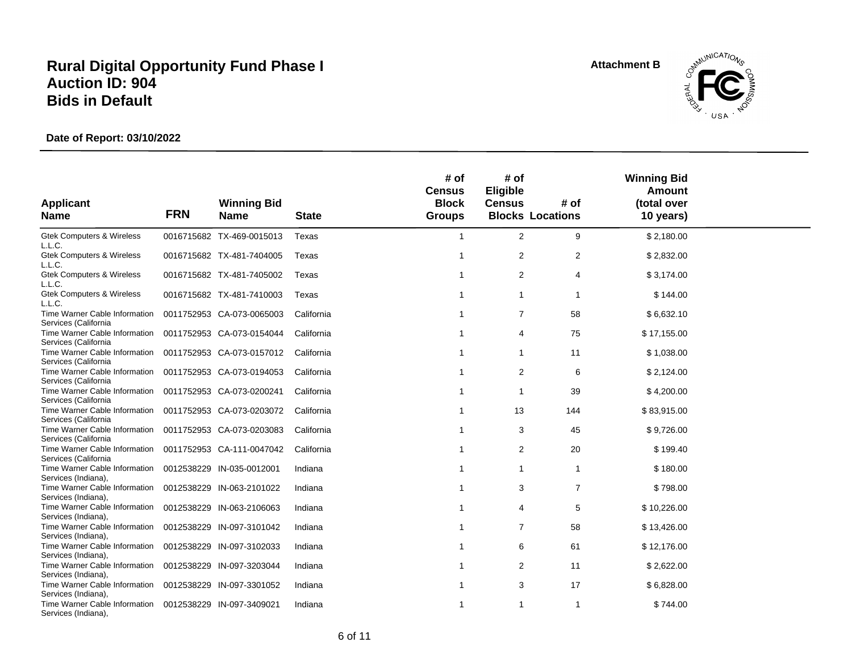**Attachment B**



| <b>Applicant</b><br><b>Name</b>                                                        | <b>FRN</b> | <b>Winning Bid</b><br><b>Name</b>                      | <b>State</b>             | # of<br><b>Census</b><br><b>Block</b><br><b>Groups</b> | # of<br>Eligible<br><b>Census</b> | # of<br><b>Blocks Locations</b> | <b>Winning Bid</b><br>Amount<br>(total over<br>10 years) |  |
|----------------------------------------------------------------------------------------|------------|--------------------------------------------------------|--------------------------|--------------------------------------------------------|-----------------------------------|---------------------------------|----------------------------------------------------------|--|
| <b>Gtek Computers &amp; Wireless</b>                                                   |            | 0016715682 TX-469-0015013                              | Texas                    | $\overline{1}$                                         | 2                                 | 9                               | \$2,180.00                                               |  |
| L.L.C.<br><b>Gtek Computers &amp; Wireless</b><br>L.L.C.                               |            | 0016715682 TX-481-7404005                              | Texas                    | -1                                                     | $\overline{2}$                    | 2                               | \$2,832.00                                               |  |
| <b>Gtek Computers &amp; Wireless</b><br>L.L.C.                                         |            | 0016715682 TX-481-7405002                              | Texas                    |                                                        | 2                                 | 4                               | \$3,174.00                                               |  |
| <b>Gtek Computers &amp; Wireless</b><br>L.L.C.                                         |            | 0016715682 TX-481-7410003                              | Texas                    | -1                                                     | $\mathbf{1}$                      | -1                              | \$144.00                                                 |  |
| Time Warner Cable Information<br>Services (California                                  |            | 0011752953 CA-073-0065003                              | California               | -1                                                     | $\overline{7}$                    | 58                              | \$6,632.10                                               |  |
| Time Warner Cable Information<br>Services (California                                  |            | 0011752953 CA-073-0154044                              | California               | -1                                                     | 4                                 | 75                              | \$17,155.00                                              |  |
| Time Warner Cable Information<br>Services (California                                  |            | 0011752953 CA-073-0157012                              | California               | -1                                                     | $\mathbf{1}$                      | 11                              | \$1,038.00                                               |  |
| Time Warner Cable Information<br>Services (California                                  |            | 0011752953 CA-073-0194053                              | California               | -1                                                     | 2                                 | 6                               | \$2,124.00                                               |  |
| Time Warner Cable Information<br>Services (California                                  |            | 0011752953 CA-073-0200241                              | California               | -1                                                     | -1                                | 39                              | \$4,200.00                                               |  |
| Time Warner Cable Information<br>Services (California<br>Time Warner Cable Information |            | 0011752953 CA-073-0203072                              | California<br>California | -1<br>-1                                               | 13                                | 144<br>45                       | \$83,915.00<br>\$9,726.00                                |  |
| Services (California<br>Time Warner Cable Information                                  |            | 0011752953 CA-073-0203083<br>0011752953 CA-111-0047042 | California               |                                                        | 3<br>$\overline{2}$               | 20                              | \$199.40                                                 |  |
| Services (California<br>Time Warner Cable Information                                  |            | 0012538229 IN-035-0012001                              | Indiana                  |                                                        | $\mathbf{1}$                      | $\overline{1}$                  | \$180.00                                                 |  |
| Services (Indiana),<br>Time Warner Cable Information                                   |            | 0012538229 IN-063-2101022                              | Indiana                  |                                                        | 3                                 | $\overline{7}$                  | \$798.00                                                 |  |
| Services (Indiana),<br>Time Warner Cable Information                                   |            | 0012538229 IN-063-2106063                              | Indiana                  |                                                        | 4                                 | 5                               | \$10,226.00                                              |  |
| Services (Indiana),<br>Time Warner Cable Information                                   |            | 0012538229 IN-097-3101042                              | Indiana                  | -1                                                     | $\overline{7}$                    | 58                              | \$13,426.00                                              |  |
| Services (Indiana),<br>Time Warner Cable Information                                   |            | 0012538229 IN-097-3102033                              | Indiana                  |                                                        | 6                                 | 61                              | \$12,176.00                                              |  |
| Services (Indiana),<br>Time Warner Cable Information                                   |            | 0012538229 IN-097-3203044                              | Indiana                  | -1                                                     | 2                                 | 11                              | \$2,622.00                                               |  |
| Services (Indiana),<br>Time Warner Cable Information<br>Services (Indiana),            |            | 0012538229 IN-097-3301052                              | Indiana                  | -1                                                     | 3                                 | 17                              | \$6,828.00                                               |  |
| Time Warner Cable Information<br>Services (Indiana),                                   |            | 0012538229 IN-097-3409021                              | Indiana                  | $\overline{1}$                                         | 1                                 |                                 | \$744.00                                                 |  |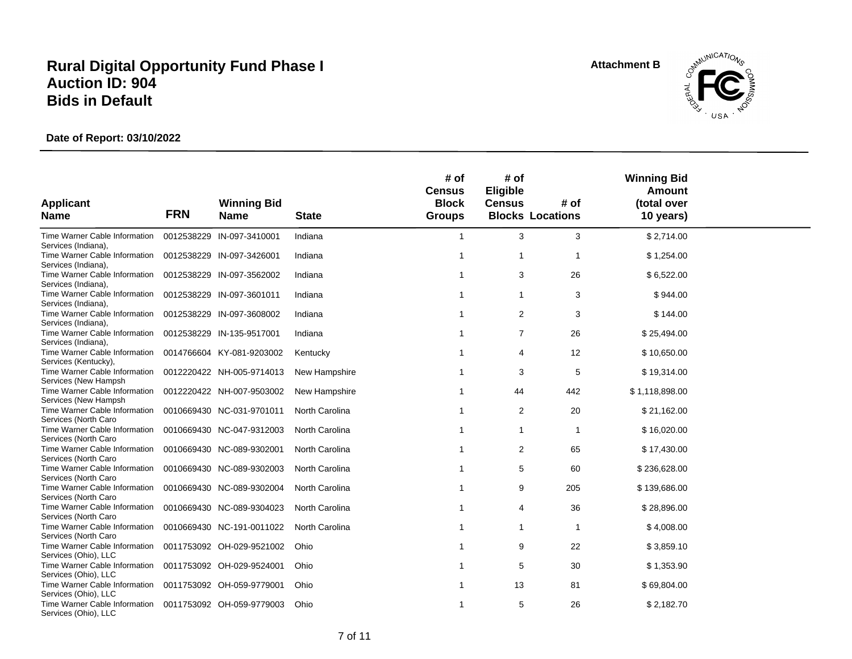**Attachment B**



|                                                                                        |            |                                                        |                                  | # of<br><b>Census</b>         | # of<br>Eligible    |                                 | <b>Winning Bid</b><br><b>Amount</b> |
|----------------------------------------------------------------------------------------|------------|--------------------------------------------------------|----------------------------------|-------------------------------|---------------------|---------------------------------|-------------------------------------|
| <b>Applicant</b><br><b>Name</b>                                                        | <b>FRN</b> | <b>Winning Bid</b><br><b>Name</b>                      | <b>State</b>                     | <b>Block</b><br><b>Groups</b> | <b>Census</b>       | # of<br><b>Blocks Locations</b> | (total over<br>10 years)            |
| Time Warner Cable Information<br>Services (Indiana),                                   |            | 0012538229 IN-097-3410001                              | Indiana                          | $\overline{1}$                | 3                   | 3                               | \$2,714.00                          |
| Time Warner Cable Information<br>Services (Indiana),                                   |            | 0012538229 IN-097-3426001                              | Indiana                          | -1                            | $\mathbf{1}$        |                                 | \$1,254.00                          |
| Time Warner Cable Information<br>Services (Indiana),                                   |            | 0012538229 IN-097-3562002                              | Indiana                          |                               | 3                   | 26                              | \$6,522.00                          |
| Time Warner Cable Information<br>Services (Indiana),                                   |            | 0012538229 IN-097-3601011                              | Indiana                          |                               | 1                   | 3                               | \$944.00                            |
| Time Warner Cable Information<br>Services (Indiana),                                   |            | 0012538229 IN-097-3608002                              | Indiana                          | -1                            | $\overline{2}$      | 3                               | \$144.00                            |
| Time Warner Cable Information<br>Services (Indiana),                                   |            | 0012538229 IN-135-9517001                              | Indiana                          | -1                            | $\overline{7}$      | 26                              | \$25,494.00                         |
| Time Warner Cable Information<br>Services (Kentucky),                                  |            | 0014766604 KY-081-9203002                              | Kentucky                         |                               | 4                   | 12                              | \$10,650.00                         |
| Time Warner Cable Information<br>Services (New Hampsh                                  |            | 0012220422 NH-005-9714013                              | New Hampshire                    |                               | 3                   | 5                               | \$19,314.00                         |
| Time Warner Cable Information<br>Services (New Hampsh)                                 |            | 0012220422 NH-007-9503002                              | New Hampshire                    |                               | 44                  | 442                             | \$1,118,898.00                      |
| Time Warner Cable Information<br>Services (North Caro<br>Time Warner Cable Information |            | 0010669430 NC-031-9701011<br>0010669430 NC-047-9312003 | North Carolina<br>North Carolina |                               | $\overline{2}$<br>1 | 20                              | \$21,162.00                         |
| Services (North Caro<br>Time Warner Cable Information                                  |            | 0010669430 NC-089-9302001                              | North Carolina                   |                               | $\overline{2}$      | 65                              | \$16,020.00<br>\$17,430.00          |
| Services (North Caro<br>Time Warner Cable Information                                  |            | 0010669430 NC-089-9302003                              | North Carolina                   |                               | 5                   | 60                              | \$236,628.00                        |
| Services (North Caro<br>Time Warner Cable Information                                  |            | 0010669430 NC-089-9302004                              | North Carolina                   |                               | 9                   | 205                             | \$139,686.00                        |
| Services (North Caro<br>Time Warner Cable Information                                  |            | 0010669430 NC-089-9304023                              | North Carolina                   |                               | 4                   | 36                              | \$28,896.00                         |
| Services (North Caro<br>Time Warner Cable Information                                  |            | 0010669430 NC-191-0011022                              | North Carolina                   | 1                             | 1                   | 1                               | \$4,008.00                          |
| Services (North Caro<br>Time Warner Cable Information                                  |            | 0011753092 OH-029-9521002                              | Ohio                             |                               | 9                   | 22                              | \$3,859.10                          |
| Services (Ohio), LLC<br>Time Warner Cable Information                                  |            | 0011753092 OH-029-9524001                              | Ohio                             | -1                            | 5                   | 30                              | \$1,353.90                          |
| Services (Ohio), LLC<br>Time Warner Cable Information                                  |            | 0011753092 OH-059-9779001                              | Ohio                             | -1                            | 13                  | 81                              | \$69,804.00                         |
| Services (Ohio), LLC<br>Time Warner Cable Information<br>Services (Ohio), LLC          |            | 0011753092 OH-059-9779003                              | Ohio                             | -1                            | 5                   | 26                              | \$2,182.70                          |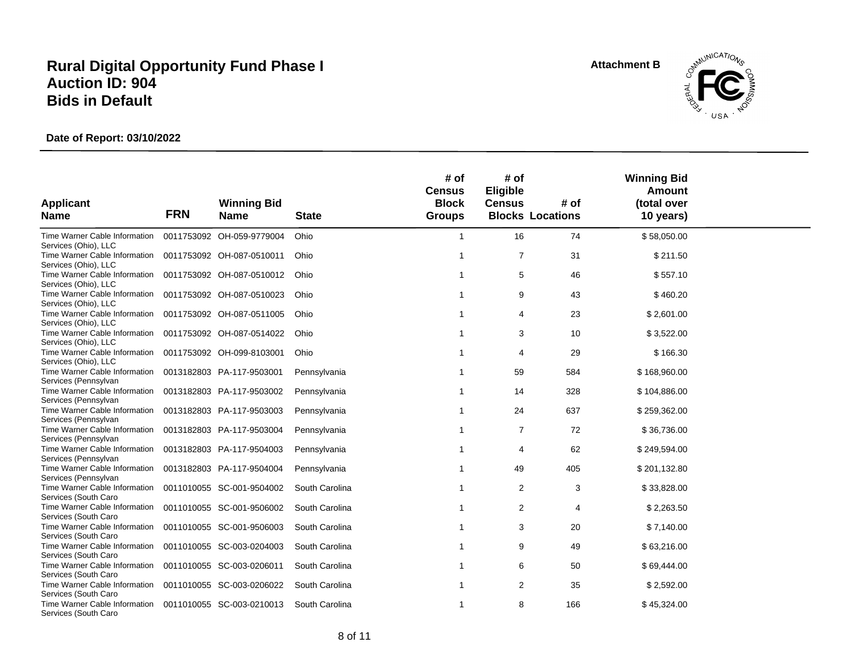**Attachment B**



|                                                       |            |                                   |                | # of<br><b>Census</b>         | # of<br>Eligible |                                 | <b>Winning Bid</b><br><b>Amount</b> |
|-------------------------------------------------------|------------|-----------------------------------|----------------|-------------------------------|------------------|---------------------------------|-------------------------------------|
| <b>Applicant</b><br><b>Name</b>                       | <b>FRN</b> | <b>Winning Bid</b><br><b>Name</b> | <b>State</b>   | <b>Block</b><br><b>Groups</b> | <b>Census</b>    | # of<br><b>Blocks Locations</b> | (total over<br>10 years)            |
|                                                       |            |                                   |                |                               |                  |                                 |                                     |
| Time Warner Cable Information<br>Services (Ohio), LLC |            | 0011753092 OH-059-9779004         | Ohio           | $\overline{1}$                | 16               | 74                              | \$58,050.00                         |
| Time Warner Cable Information<br>Services (Ohio), LLC |            | 0011753092 OH-087-0510011         | Ohio           | -1                            | $\overline{7}$   | 31                              | \$211.50                            |
| Time Warner Cable Information<br>Services (Ohio), LLC |            | 0011753092 OH-087-0510012         | Ohio           |                               | 5                | 46                              | \$557.10                            |
| Time Warner Cable Information<br>Services (Ohio), LLC |            | 0011753092 OH-087-0510023         | Ohio           | -1                            | 9                | 43                              | \$460.20                            |
| Time Warner Cable Information<br>Services (Ohio), LLC |            | 0011753092 OH-087-0511005         | Ohio           | -1                            | 4                | 23                              | \$2,601.00                          |
| Time Warner Cable Information<br>Services (Ohio), LLC |            | 0011753092 OH-087-0514022         | Ohio           |                               | 3                | 10                              | \$3,522.00                          |
| Time Warner Cable Information<br>Services (Ohio), LLC |            | 0011753092 OH-099-8103001         | Ohio           | $\overline{1}$                | 4                | 29                              | \$166.30                            |
| Time Warner Cable Information<br>Services (Pennsylvan |            | 0013182803 PA-117-9503001         | Pennsylvania   |                               | 59               | 584                             | \$168,960.00                        |
| Time Warner Cable Information<br>Services (Pennsylvan |            | 0013182803 PA-117-9503002         | Pennsylvania   |                               | 14               | 328                             | \$104,886.00                        |
| Time Warner Cable Information<br>Services (Pennsylvan |            | 0013182803 PA-117-9503003         | Pennsylvania   |                               | 24               | 637                             | \$259,362.00                        |
| Time Warner Cable Information<br>Services (Pennsylvan |            | 0013182803 PA-117-9503004         | Pennsylvania   |                               | $\overline{7}$   | 72                              | \$36,736.00                         |
| Time Warner Cable Information<br>Services (Pennsylvan |            | 0013182803 PA-117-9504003         | Pennsylvania   |                               | 4                | 62                              | \$249,594.00                        |
| Time Warner Cable Information<br>Services (Pennsylvan |            | 0013182803 PA-117-9504004         | Pennsylvania   |                               | 49               | 405                             | \$201,132.80                        |
| Time Warner Cable Information<br>Services (South Caro |            | 0011010055 SC-001-9504002         | South Carolina | -1                            | $\overline{2}$   | 3                               | \$33,828.00                         |
| Time Warner Cable Information<br>Services (South Caro |            | 0011010055 SC-001-9506002         | South Carolina |                               | $\overline{c}$   | 4                               | \$2,263.50                          |
| Time Warner Cable Information<br>Services (South Caro |            | 0011010055 SC-001-9506003         | South Carolina | -1                            | 3                | 20                              | \$7,140.00                          |
| Time Warner Cable Information<br>Services (South Caro |            | 0011010055 SC-003-0204003         | South Carolina |                               | 9                | 49                              | \$63,216.00                         |
| Time Warner Cable Information<br>Services (South Caro |            | 0011010055 SC-003-0206011         | South Carolina | -1                            | 6                | 50                              | \$69,444.00                         |
| Time Warner Cable Information<br>Services (South Caro |            | 0011010055 SC-003-0206022         | South Carolina |                               | $\overline{c}$   | 35                              | \$2,592.00                          |
| Time Warner Cable Information<br>Services (South Caro |            | 0011010055 SC-003-0210013         | South Carolina | -1                            | 8                | 166                             | \$45,324.00                         |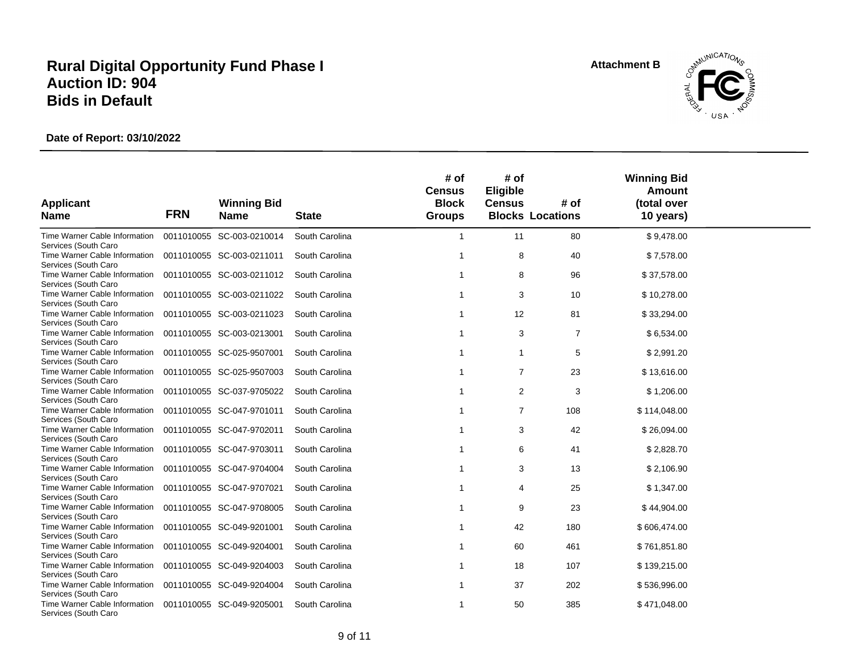**Attachment B**



|                                                       |            |                                   |                | # of<br><b>Census</b>         | # of<br>Eligible |                                 | <b>Winning Bid</b><br><b>Amount</b> |  |
|-------------------------------------------------------|------------|-----------------------------------|----------------|-------------------------------|------------------|---------------------------------|-------------------------------------|--|
| <b>Applicant</b><br><b>Name</b>                       | <b>FRN</b> | <b>Winning Bid</b><br><b>Name</b> | <b>State</b>   | <b>Block</b><br><b>Groups</b> | <b>Census</b>    | # of<br><b>Blocks Locations</b> | (total over<br>10 years)            |  |
| Time Warner Cable Information<br>Services (South Caro |            | 0011010055 SC-003-0210014         | South Carolina | -1                            | 11               | 80                              | \$9,478.00                          |  |
| Time Warner Cable Information<br>Services (South Caro |            | 0011010055 SC-003-0211011         | South Carolina | -1                            | 8                | 40                              | \$7,578.00                          |  |
| Time Warner Cable Information<br>Services (South Caro |            | 0011010055 SC-003-0211012         | South Carolina |                               | 8                | 96                              | \$37,578.00                         |  |
| Time Warner Cable Information<br>Services (South Caro |            | 0011010055 SC-003-0211022         | South Carolina |                               | 3                | 10                              | \$10,278.00                         |  |
| Time Warner Cable Information<br>Services (South Caro |            | 0011010055 SC-003-0211023         | South Carolina |                               | 12               | 81                              | \$33,294.00                         |  |
| Time Warner Cable Information<br>Services (South Caro |            | 0011010055 SC-003-0213001         | South Carolina |                               | 3                | $\overline{7}$                  | \$6,534.00                          |  |
| Time Warner Cable Information<br>Services (South Caro |            | 0011010055 SC-025-9507001         | South Carolina | $\overline{1}$                | $\mathbf{1}$     | 5                               | \$2,991.20                          |  |
| Time Warner Cable Information<br>Services (South Caro |            | 0011010055 SC-025-9507003         | South Carolina |                               | $\overline{7}$   | 23                              | \$13,616.00                         |  |
| Time Warner Cable Information<br>Services (South Caro |            | 0011010055 SC-037-9705022         | South Carolina |                               | 2                | 3                               | \$1,206.00                          |  |
| Time Warner Cable Information<br>Services (South Caro |            | 0011010055 SC-047-9701011         | South Carolina |                               | $\overline{7}$   | 108                             | \$114,048.00                        |  |
| Time Warner Cable Information<br>Services (South Caro |            | 0011010055 SC-047-9702011         | South Carolina |                               | 3                | 42                              | \$26,094.00                         |  |
| Time Warner Cable Information<br>Services (South Caro |            | 0011010055 SC-047-9703011         | South Carolina |                               | 6                | 41                              | \$2,828.70                          |  |
| Time Warner Cable Information<br>Services (South Caro |            | 0011010055 SC-047-9704004         | South Carolina |                               | 3                | 13                              | \$2,106.90                          |  |
| Time Warner Cable Information<br>Services (South Caro |            | 0011010055 SC-047-9707021         | South Carolina |                               | 4                | 25                              | \$1,347.00                          |  |
| Time Warner Cable Information<br>Services (South Caro |            | 0011010055 SC-047-9708005         | South Carolina |                               | 9                | 23                              | \$44,904.00                         |  |
| Time Warner Cable Information<br>Services (South Caro |            | 0011010055 SC-049-9201001         | South Carolina | -1                            | 42               | 180                             | \$606,474.00                        |  |
| Time Warner Cable Information<br>Services (South Caro |            | 0011010055 SC-049-9204001         | South Carolina |                               | 60               | 461                             | \$761,851.80                        |  |
| Time Warner Cable Information<br>Services (South Caro |            | 0011010055 SC-049-9204003         | South Carolina | -1                            | 18               | 107                             | \$139,215.00                        |  |
| Time Warner Cable Information<br>Services (South Caro |            | 0011010055 SC-049-9204004         | South Carolina | -1                            | 37               | 202                             | \$536,996.00                        |  |
| Time Warner Cable Information<br>Services (South Caro |            | 0011010055 SC-049-9205001         | South Carolina | -1                            | 50               | 385                             | \$471,048.00                        |  |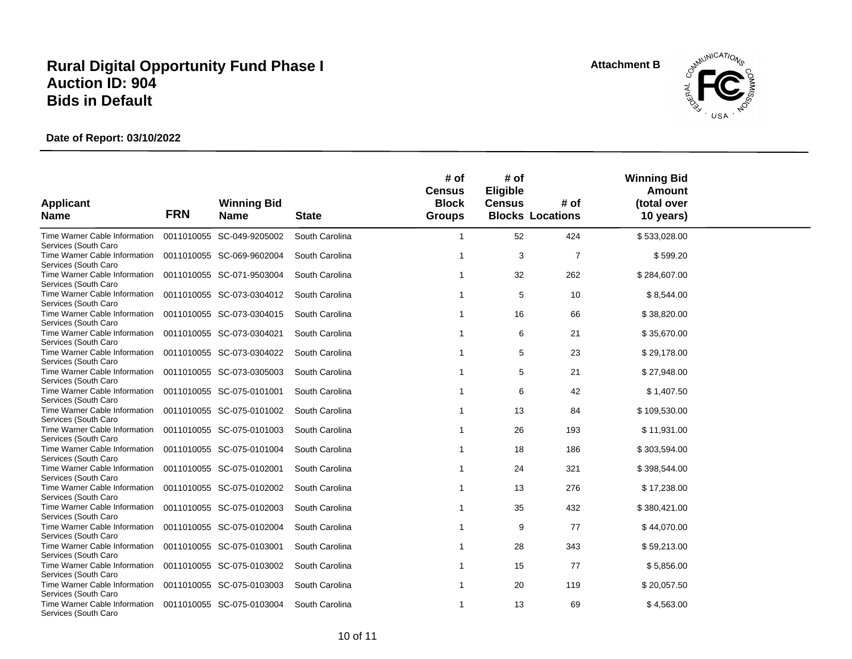**Attachment B**



| <b>Applicant</b>                                      |            | <b>Winning Bid</b>        |                | # of<br><b>Census</b><br><b>Block</b> | # of<br>Eligible<br><b>Census</b> | # of                    | <b>Winning Bid</b><br><b>Amount</b><br>(total over |  |
|-------------------------------------------------------|------------|---------------------------|----------------|---------------------------------------|-----------------------------------|-------------------------|----------------------------------------------------|--|
| <b>Name</b>                                           | <b>FRN</b> | <b>Name</b>               | <b>State</b>   | <b>Groups</b>                         |                                   | <b>Blocks Locations</b> | 10 years)                                          |  |
| Time Warner Cable Information<br>Services (South Caro |            | 0011010055 SC-049-9205002 | South Carolina | -1                                    | 52                                | 424                     | \$533,028.00                                       |  |
| Time Warner Cable Information<br>Services (South Caro |            | 0011010055 SC-069-9602004 | South Carolina | -1                                    | 3                                 | $\overline{7}$          | \$599.20                                           |  |
| Time Warner Cable Information<br>Services (South Caro |            | 0011010055 SC-071-9503004 | South Carolina |                                       | 32                                | 262                     | \$284,607.00                                       |  |
| Time Warner Cable Information<br>Services (South Caro |            | 0011010055 SC-073-0304012 | South Carolina | -1                                    | 5                                 | 10                      | \$8,544.00                                         |  |
| Time Warner Cable Information<br>Services (South Caro |            | 0011010055 SC-073-0304015 | South Carolina |                                       | 16                                | 66                      | \$38,820.00                                        |  |
| Time Warner Cable Information<br>Services (South Caro |            | 0011010055 SC-073-0304021 | South Carolina |                                       | 6                                 | 21                      | \$35,670.00                                        |  |
| Time Warner Cable Information<br>Services (South Caro |            | 0011010055 SC-073-0304022 | South Carolina |                                       | 5                                 | 23                      | \$29,178.00                                        |  |
| Time Warner Cable Information<br>Services (South Caro |            | 0011010055 SC-073-0305003 | South Carolina |                                       | 5                                 | 21                      | \$27,948.00                                        |  |
| Time Warner Cable Information<br>Services (South Caro |            | 0011010055 SC-075-0101001 | South Carolina |                                       | 6                                 | 42                      | \$1,407.50                                         |  |
| Time Warner Cable Information<br>Services (South Caro |            | 0011010055 SC-075-0101002 | South Carolina |                                       | 13                                | 84                      | \$109,530.00                                       |  |
| Time Warner Cable Information<br>Services (South Caro |            | 0011010055 SC-075-0101003 | South Carolina |                                       | 26                                | 193                     | \$11,931.00                                        |  |
| Time Warner Cable Information<br>Services (South Caro |            | 0011010055 SC-075-0101004 | South Carolina |                                       | 18                                | 186                     | \$303,594.00                                       |  |
| Time Warner Cable Information<br>Services (South Caro |            | 0011010055 SC-075-0102001 | South Carolina | -1                                    | 24                                | 321                     | \$398,544.00                                       |  |
| Time Warner Cable Information<br>Services (South Caro |            | 0011010055 SC-075-0102002 | South Carolina | -1                                    | 13                                | 276                     | \$17,238.00                                        |  |
| Time Warner Cable Information<br>Services (South Caro |            | 0011010055 SC-075-0102003 | South Carolina |                                       | 35                                | 432                     | \$380,421.00                                       |  |
| Time Warner Cable Information<br>Services (South Caro |            | 0011010055 SC-075-0102004 | South Carolina | -1                                    | 9                                 | 77                      | \$44,070.00                                        |  |
| Time Warner Cable Information<br>Services (South Caro |            | 0011010055 SC-075-0103001 | South Carolina |                                       | 28                                | 343                     | \$59,213.00                                        |  |
| Time Warner Cable Information<br>Services (South Caro |            | 0011010055 SC-075-0103002 | South Carolina | -1                                    | 15                                | 77                      | \$5,856.00                                         |  |
| Time Warner Cable Information<br>Services (South Caro |            | 0011010055 SC-075-0103003 | South Carolina | -1                                    | 20                                | 119                     | \$20,057.50                                        |  |
| Time Warner Cable Information<br>Services (South Caro |            | 0011010055 SC-075-0103004 | South Carolina | -1                                    | 13                                | 69                      | \$4,563.00                                         |  |